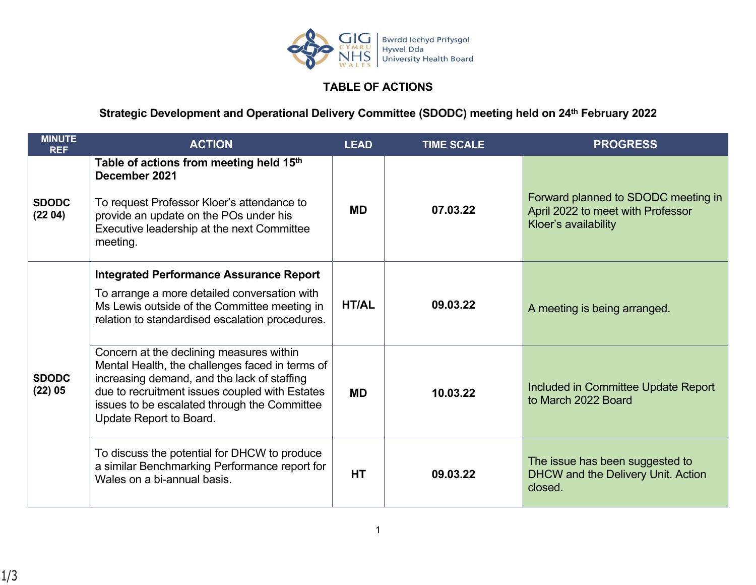

## **TABLE OF ACTIONS**

## **Strategic Development and Operational Delivery Committee (SDODC) meeting held on 24th February 2022**

| <b>MINUTE</b><br><b>REF</b> | <b>ACTION</b>                                                                                                                                                                                                                                                           | <b>LEAD</b>  | <b>TIME SCALE</b> | <b>PROGRESS</b>                                                                                  |
|-----------------------------|-------------------------------------------------------------------------------------------------------------------------------------------------------------------------------------------------------------------------------------------------------------------------|--------------|-------------------|--------------------------------------------------------------------------------------------------|
| <b>SDODC</b><br>(2204)      | Table of actions from meeting held 15th<br>December 2021<br>To request Professor Kloer's attendance to<br>provide an update on the POs under his<br>Executive leadership at the next Committee<br>meeting.                                                              | MD           | 07.03.22          | Forward planned to SDODC meeting in<br>April 2022 to meet with Professor<br>Kloer's availability |
| <b>SDODC</b><br>$(22)$ 05   | <b>Integrated Performance Assurance Report</b><br>To arrange a more detailed conversation with<br>Ms Lewis outside of the Committee meeting in<br>relation to standardised escalation procedures.                                                                       | <b>HT/AL</b> | 09.03.22          | A meeting is being arranged.                                                                     |
|                             | Concern at the declining measures within<br>Mental Health, the challenges faced in terms of<br>increasing demand, and the lack of staffing<br>due to recruitment issues coupled with Estates<br>issues to be escalated through the Committee<br>Update Report to Board. | <b>MD</b>    | 10.03.22          | Included in Committee Update Report<br>to March 2022 Board                                       |
|                             | To discuss the potential for DHCW to produce<br>a similar Benchmarking Performance report for<br>Wales on a bi-annual basis.                                                                                                                                            | <b>HT</b>    | 09.03.22          | The issue has been suggested to<br>DHCW and the Delivery Unit. Action<br>closed.                 |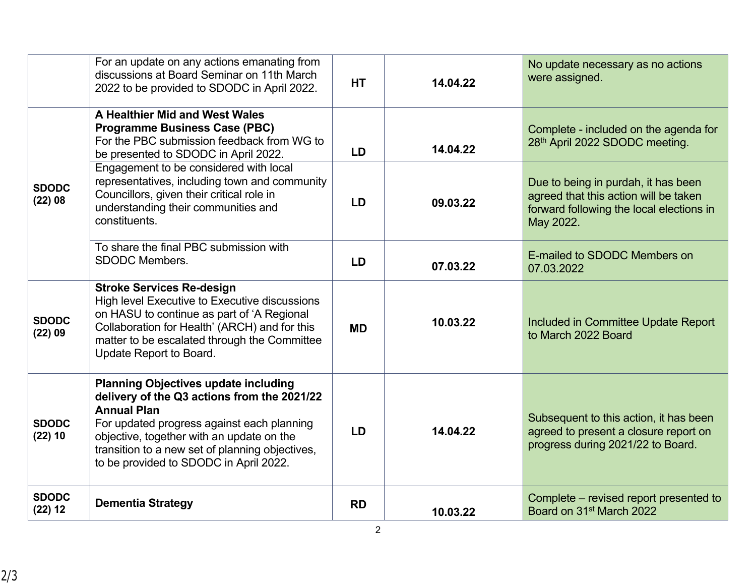|                           | For an update on any actions emanating from<br>discussions at Board Seminar on 11th March<br>2022 to be provided to SDODC in April 2022.                                                                                                                                                                 | <b>HT</b> | 14.04.22 | No update necessary as no actions<br>were assigned.                                                                                   |
|---------------------------|----------------------------------------------------------------------------------------------------------------------------------------------------------------------------------------------------------------------------------------------------------------------------------------------------------|-----------|----------|---------------------------------------------------------------------------------------------------------------------------------------|
|                           | A Healthier Mid and West Wales<br><b>Programme Business Case (PBC)</b><br>For the PBC submission feedback from WG to<br>be presented to SDODC in April 2022.                                                                                                                                             | <b>LD</b> | 14.04.22 | Complete - included on the agenda for<br>28th April 2022 SDODC meeting.                                                               |
| <b>SDODC</b><br>$(22)$ 08 | Engagement to be considered with local<br>representatives, including town and community<br>Councillors, given their critical role in<br>understanding their communities and<br>constituents.                                                                                                             | <b>LD</b> | 09.03.22 | Due to being in purdah, it has been<br>agreed that this action will be taken<br>forward following the local elections in<br>May 2022. |
|                           | To share the final PBC submission with<br><b>SDODC Members.</b>                                                                                                                                                                                                                                          | <b>LD</b> | 07.03.22 | E-mailed to SDODC Members on<br>07.03.2022                                                                                            |
| <b>SDODC</b><br>$(22)$ 09 | <b>Stroke Services Re-design</b><br>High level Executive to Executive discussions<br>on HASU to continue as part of 'A Regional<br>Collaboration for Health' (ARCH) and for this<br>matter to be escalated through the Committee<br>Update Report to Board.                                              | <b>MD</b> | 10.03.22 | Included in Committee Update Report<br>to March 2022 Board                                                                            |
| <b>SDODC</b><br>$(22)$ 10 | <b>Planning Objectives update including</b><br>delivery of the Q3 actions from the 2021/22<br><b>Annual Plan</b><br>For updated progress against each planning<br>objective, together with an update on the<br>transition to a new set of planning objectives,<br>to be provided to SDODC in April 2022. | <b>LD</b> | 14.04.22 | Subsequent to this action, it has been<br>agreed to present a closure report on<br>progress during 2021/22 to Board.                  |
| <b>SDODC</b><br>$(22)$ 12 | <b>Dementia Strategy</b>                                                                                                                                                                                                                                                                                 | <b>RD</b> | 10.03.22 | Complete – revised report presented to<br>Board on 31 <sup>st</sup> March 2022                                                        |